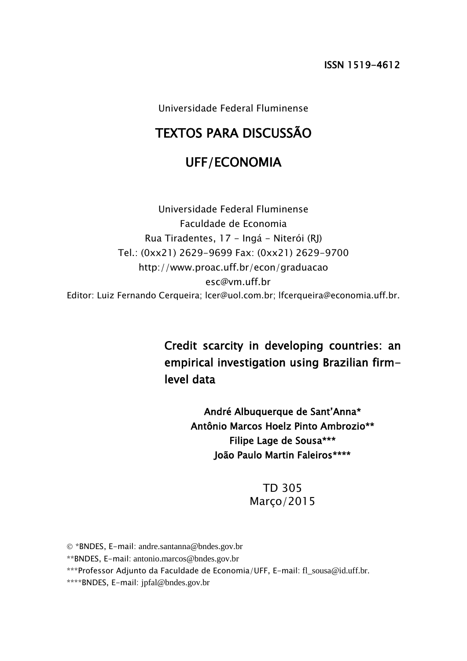Universidade Federal Fluminense

# TEXTOS PARA DISCUSSÃO

# UFF/ECONOMIA

Universidade Federal Fluminense Faculdade de Economia Rua Tiradentes, 17 - Ingá - Niterói (RJ) Tel.: (0xx21) 2629-9699 Fax: (0xx21) 2629-9700 http://www.proac.uff.br/econ/graduacao esc@vm.uff.br Editor: Luiz Fernando Cerqueira; lcer@uol.com.br; lfcerqueira@economia.uff.br.

> Credit scarcity in developing countries: an empirical investigation using Brazilian firmlevel data

> > André Albuquerque de Sant'Anna\* Antônio Marcos Hoelz Pinto Ambrozio\*\* Filipe Lage de Sousa\*\*\* João Paulo Martin Faleiros\*\*\*\*

> > > TD 305 Março/2015

\*BNDES, E-mail: andre.santanna@bndes.gov.br

\*\*BNDES, E-mail: antonio.marcos@bndes.gov.br

\*\*\*Professor Adjunto da Faculdade de Economia/UFF, E-mail: fl\_sousa@id.uff.br.

\*\*\*\*BNDES, E-mail: jpfal@bndes.gov.br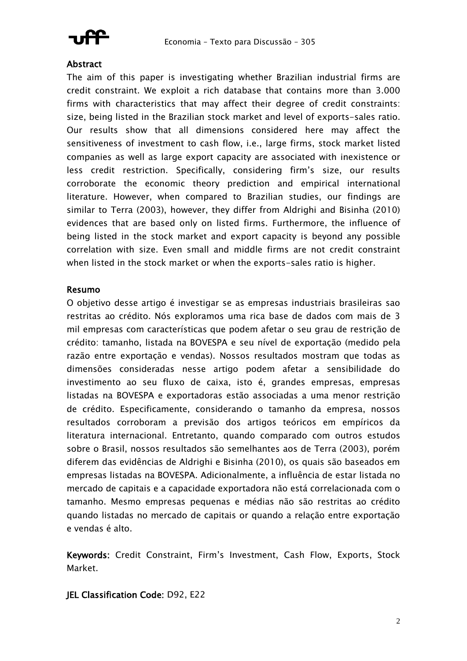

#### Abstract

The aim of this paper is investigating whether Brazilian industrial firms are credit constraint. We exploit a rich database that contains more than 3.000 firms with characteristics that may affect their degree of credit constraints: size, being listed in the Brazilian stock market and level of exports-sales ratio. Our results show that all dimensions considered here may affect the sensitiveness of investment to cash flow, i.e., large firms, stock market listed companies as well as large export capacity are associated with inexistence or less credit restriction. Specifically, considering firm's size, our results corroborate the economic theory prediction and empirical international literature. However, when compared to Brazilian studies, our findings are similar to Terra (2003), however, they differ from Aldrighi and Bisinha (2010) evidences that are based only on listed firms. Furthermore, the influence of being listed in the stock market and export capacity is beyond any possible correlation with size. Even small and middle firms are not credit constraint when listed in the stock market or when the exports-sales ratio is higher.

#### Resumo

O objetivo desse artigo é investigar se as empresas industriais brasileiras sao restritas ao crédito. Nós exploramos uma rica base de dados com mais de 3 mil empresas com características que podem afetar o seu grau de restrição de crédito: tamanho, listada na BOVESPA e seu nível de exportação (medido pela razão entre exportação e vendas). Nossos resultados mostram que todas as dimensões consideradas nesse artigo podem afetar a sensibilidade do investimento ao seu fluxo de caixa, isto é, grandes empresas, empresas listadas na BOVESPA e exportadoras estão associadas a uma menor restrição de crédito. Especificamente, considerando o tamanho da empresa, nossos resultados corroboram a previsão dos artigos teóricos em empíricos da literatura internacional. Entretanto, quando comparado com outros estudos sobre o Brasil, nossos resultados são semelhantes aos de Terra (2003), porém diferem das evidências de Aldrighi e Bisinha (2010), os quais são baseados em empresas listadas na BOVESPA. Adicionalmente, a influência de estar listada no mercado de capitais e a capacidade exportadora não está correlacionada com o tamanho. Mesmo empresas pequenas e médias não são restritas ao crédito quando listadas no mercado de capitais or quando a relação entre exportação e vendas é alto.

Keywords: Credit Constraint, Firm's Investment, Cash Flow, Exports, Stock Market.

#### JEL Classification Code: D92, E22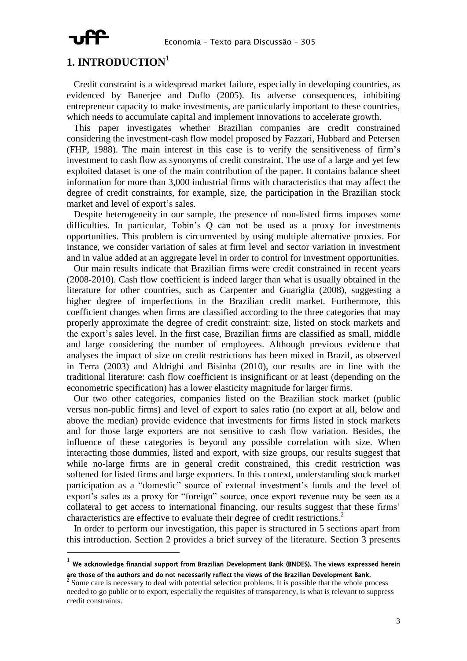

<u>.</u>

## **1. INTRODUCTION<sup>1</sup>**

Credit constraint is a widespread market failure, especially in developing countries, as evidenced by Banerjee and Duflo (2005). Its adverse consequences, inhibiting entrepreneur capacity to make investments, are particularly important to these countries, which needs to accumulate capital and implement innovations to accelerate growth.

This paper investigates whether Brazilian companies are credit constrained considering the investment-cash flow model proposed by Fazzari, Hubbard and Petersen (FHP, 1988). The main interest in this case is to verify the sensitiveness of firm's investment to cash flow as synonyms of credit constraint. The use of a large and yet few exploited dataset is one of the main contribution of the paper. It contains balance sheet information for more than 3,000 industrial firms with characteristics that may affect the degree of credit constraints, for example, size, the participation in the Brazilian stock market and level of export's sales.

Despite heterogeneity in our sample, the presence of non-listed firms imposes some difficulties. In particular, Tobin's Q can not be used as a proxy for investments opportunities. This problem is circumvented by using multiple alternative proxies. For instance, we consider variation of sales at firm level and sector variation in investment and in value added at an aggregate level in order to control for investment opportunities.

Our main results indicate that Brazilian firms were credit constrained in recent years (2008-2010). Cash flow coefficient is indeed larger than what is usually obtained in the literature for other countries, such as Carpenter and Guariglia (2008), suggesting a higher degree of imperfections in the Brazilian credit market. Furthermore, this coefficient changes when firms are classified according to the three categories that may properly approximate the degree of credit constraint: size, listed on stock markets and the export's sales level. In the first case, Brazilian firms are classified as small, middle and large considering the number of employees. Although previous evidence that analyses the impact of size on credit restrictions has been mixed in Brazil, as observed in Terra (2003) and Aldrighi and Bisinha (2010), our results are in line with the traditional literature: cash flow coefficient is insignificant or at least (depending on the econometric specification) has a lower elasticity magnitude for larger firms.

Our two other categories, companies listed on the Brazilian stock market (public versus non-public firms) and level of export to sales ratio (no export at all, below and above the median) provide evidence that investments for firms listed in stock markets and for those large exporters are not sensitive to cash flow variation. Besides, the influence of these categories is beyond any possible correlation with size. When interacting those dummies, listed and export, with size groups, our results suggest that while no-large firms are in general credit constrained, this credit restriction was softened for listed firms and large exporters. In this context, understanding stock market participation as a "domestic" source of external investment's funds and the level of export's sales as a proxy for "foreign" source, once export revenue may be seen as a collateral to get access to international financing, our results suggest that these firms' characteristics are effective to evaluate their degree of credit restrictions.<sup>2</sup>

In order to perform our investigation, this paper is structured in 5 sections apart from this introduction. Section 2 provides a brief survey of the literature. Section 3 presents

 $^{\rm 1}$  We acknowledge financial support from Brazilian Development Bank (BNDES). The views expressed herein are those of the authors and do not necessarily reflect the views of the Brazilian Development Bank.

 $2^2$  Some care is necessary to deal with potential selection problems. It is possible that the whole process needed to go public or to export, especially the requisites of transparency, is what is relevant to suppress credit constraints.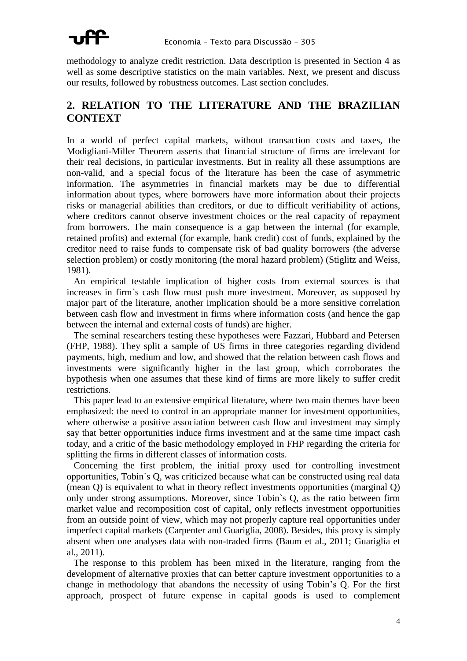

methodology to analyze credit restriction. Data description is presented in Section 4 as well as some descriptive statistics on the main variables. Next, we present and discuss our results, followed by robustness outcomes. Last section concludes.

# **2. RELATION TO THE LITERATURE AND THE BRAZILIAN CONTEXT**

In a world of perfect capital markets, without transaction costs and taxes, the Modigliani-Miller Theorem asserts that financial structure of firms are irrelevant for their real decisions, in particular investments. But in reality all these assumptions are non-valid, and a special focus of the literature has been the case of asymmetric information. The asymmetries in financial markets may be due to differential information about types, where borrowers have more information about their projects risks or managerial abilities than creditors, or due to difficult verifiability of actions, where creditors cannot observe investment choices or the real capacity of repayment from borrowers. The main consequence is a gap between the internal (for example, retained profits) and external (for example, bank credit) cost of funds, explained by the creditor need to raise funds to compensate risk of bad quality borrowers (the adverse selection problem) or costly monitoring (the moral hazard problem) (Stiglitz and Weiss, 1981).

An empirical testable implication of higher costs from external sources is that increases in firm`s cash flow must push more investment. Moreover, as supposed by major part of the literature, another implication should be a more sensitive correlation between cash flow and investment in firms where information costs (and hence the gap between the internal and external costs of funds) are higher.

The seminal researchers testing these hypotheses were Fazzari, Hubbard and Petersen (FHP, 1988). They split a sample of US firms in three categories regarding dividend payments, high, medium and low, and showed that the relation between cash flows and investments were significantly higher in the last group, which corroborates the hypothesis when one assumes that these kind of firms are more likely to suffer credit restrictions.

This paper lead to an extensive empirical literature, where two main themes have been emphasized: the need to control in an appropriate manner for investment opportunities, where otherwise a positive association between cash flow and investment may simply say that better opportunities induce firms investment and at the same time impact cash today, and a critic of the basic methodology employed in FHP regarding the criteria for splitting the firms in different classes of information costs.

Concerning the first problem, the initial proxy used for controlling investment opportunities, Tobin`s Q, was criticized because what can be constructed using real data (mean Q) is equivalent to what in theory reflect investments opportunities (marginal Q) only under strong assumptions. Moreover, since Tobin`s Q, as the ratio between firm market value and recomposition cost of capital, only reflects investment opportunities from an outside point of view, which may not properly capture real opportunities under imperfect capital markets (Carpenter and Guariglia, 2008). Besides, this proxy is simply absent when one analyses data with non-traded firms (Baum et al., 2011; Guariglia et al., 2011).

The response to this problem has been mixed in the literature, ranging from the development of alternative proxies that can better capture investment opportunities to a change in methodology that abandons the necessity of using Tobin's Q. For the first approach, prospect of future expense in capital goods is used to complement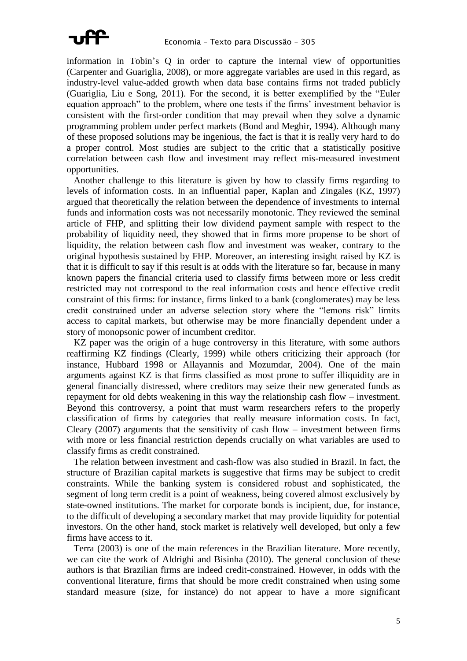

information in Tobin's Q in order to capture the internal view of opportunities (Carpenter and Guariglia, 2008), or more aggregate variables are used in this regard, as industry-level value-added growth when data base contains firms not traded publicly (Guariglia, Liu e Song, 2011). For the second, it is better exemplified by the "Euler equation approach" to the problem, where one tests if the firms' investment behavior is consistent with the first-order condition that may prevail when they solve a dynamic programming problem under perfect markets (Bond and Meghir, 1994). Although many of these proposed solutions may be ingenious, the fact is that it is really very hard to do a proper control. Most studies are subject to the critic that a statistically positive correlation between cash flow and investment may reflect mis-measured investment opportunities.

Another challenge to this literature is given by how to classify firms regarding to levels of information costs. In an influential paper, Kaplan and Zingales (KZ, 1997) argued that theoretically the relation between the dependence of investments to internal funds and information costs was not necessarily monotonic. They reviewed the seminal article of FHP, and splitting their low dividend payment sample with respect to the probability of liquidity need, they showed that in firms more propense to be short of liquidity, the relation between cash flow and investment was weaker, contrary to the original hypothesis sustained by FHP. Moreover, an interesting insight raised by KZ is that it is difficult to say if this result is at odds with the literature so far, because in many known papers the financial criteria used to classify firms between more or less credit restricted may not correspond to the real information costs and hence effective credit constraint of this firms: for instance, firms linked to a bank (conglomerates) may be less credit constrained under an adverse selection story where the "lemons risk" limits access to capital markets, but otherwise may be more financially dependent under a story of monopsonic power of incumbent creditor.

KZ paper was the origin of a huge controversy in this literature, with some authors reaffirming KZ findings (Clearly, 1999) while others criticizing their approach (for instance, Hubbard 1998 or Allayannis and Mozumdar, 2004). One of the main arguments against KZ is that firms classified as most prone to suffer illiquidity are in general financially distressed, where creditors may seize their new generated funds as repayment for old debts weakening in this way the relationship cash flow – investment. Beyond this controversy, a point that must warm researchers refers to the properly classification of firms by categories that really measure information costs. In fact, Cleary  $(2007)$  arguments that the sensitivity of cash flow – investment between firms with more or less financial restriction depends crucially on what variables are used to classify firms as credit constrained.

The relation between investment and cash-flow was also studied in Brazil. In fact, the structure of Brazilian capital markets is suggestive that firms may be subject to credit constraints. While the banking system is considered robust and sophisticated, the segment of long term credit is a point of weakness, being covered almost exclusively by state-owned institutions. The market for corporate bonds is incipient, due, for instance, to the difficult of developing a secondary market that may provide liquidity for potential investors. On the other hand, stock market is relatively well developed, but only a few firms have access to it.

Terra (2003) is one of the main references in the Brazilian literature. More recently, we can cite the work of Aldrighi and Bisinha (2010). The general conclusion of these authors is that Brazilian firms are indeed credit-constrained. However, in odds with the conventional literature, firms that should be more credit constrained when using some standard measure (size, for instance) do not appear to have a more significant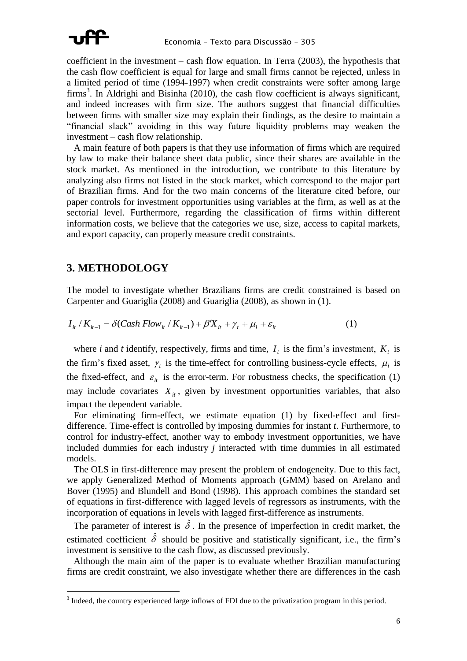

coefficient in the investment – cash flow equation. In Terra (2003), the hypothesis that the cash flow coefficient is equal for large and small firms cannot be rejected, unless in a limited period of time (1994-1997) when credit constraints were softer among large firms<sup>3</sup>. In Aldrighi and Bisinha (2010), the cash flow coefficient is always significant, and indeed increases with firm size. The authors suggest that financial difficulties between firms with smaller size may explain their findings, as the desire to maintain a "financial slack" avoiding in this way future liquidity problems may weaken the investment – cash flow relationship.

A main feature of both papers is that they use information of firms which are required by law to make their balance sheet data public, since their shares are available in the stock market. As mentioned in the introduction, we contribute to this literature by analyzing also firms not listed in the stock market, which correspond to the major part of Brazilian firms. And for the two main concerns of the literature cited before, our paper controls for investment opportunities using variables at the firm, as well as at the sectorial level. Furthermore, regarding the classification of firms within different information costs, we believe that the categories we use, size, access to capital markets, and export capacity, can properly measure credit constraints.

#### **3. METHODOLOGY**

1

The model to investigate whether Brazilians firms are credit constrained is based on Carpenter and Guariglia (2008) and Guariglia (2008), as shown in (1).

$$
I_{it} / K_{it-1} = \delta(Cash \text{Flow}_{it} / K_{it-1}) + \beta' X_{it} + \gamma_t + \mu_i + \varepsilon_{it}
$$
\n<sup>(1)</sup>

where *i* and *t* identify, respectively, firms and time,  $I_t$  is the firm's investment,  $K_t$  is the firm's fixed asset,  $\gamma_t$  is the time-effect for controlling business-cycle effects,  $\mu_i$  is the fixed-effect, and  $\varepsilon_{it}$  is the error-term. For robustness checks, the specification (1) may include covariates  $X_{it}$ , given by investment opportunities variables, that also impact the dependent variable.

For eliminating firm-effect, we estimate equation (1) by fixed-effect and firstdifference. Time-effect is controlled by imposing dummies for instant *t*. Furthermore, to control for industry-effect, another way to embody investment opportunities, we have included dummies for each industry *j* interacted with time dummies in all estimated models.

The OLS in first-difference may present the problem of endogeneity. Due to this fact, we apply Generalized Method of Moments approach (GMM) based on Arelano and Bover (1995) and Blundell and Bond (1998). This approach combines the standard set of equations in first-difference with lagged levels of regressors as instruments, with the incorporation of equations in levels with lagged first-difference as instruments.

The parameter of interest is  $\hat{\delta}$ . In the presence of imperfection in credit market, the estimated coefficient  $\hat{\delta}$  should be positive and statistically significant, i.e., the firm's investment is sensitive to the cash flow, as discussed previously.

Although the main aim of the paper is to evaluate whether Brazilian manufacturing firms are credit constraint, we also investigate whether there are differences in the cash

<sup>&</sup>lt;sup>3</sup> Indeed, the country experienced large inflows of FDI due to the privatization program in this period.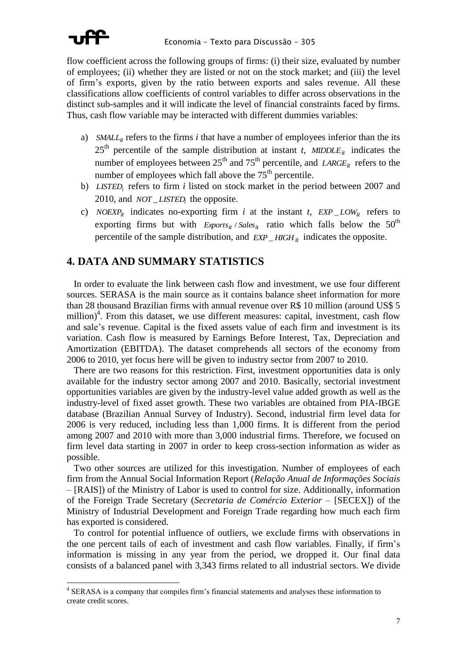

<u>.</u>

flow coefficient across the following groups of firms: (i) their size, evaluated by number of employees; (ii) whether they are listed or not on the stock market; and (iii) the level of firm's exports, given by the ratio between exports and sales revenue. All these classifications allow coefficients of control variables to differ across observations in the distinct sub-samples and it will indicate the level of financial constraints faced by firms. Thus, cash flow variable may be interacted with different dummies variables:

- a) *SMALL*<sub>*it*</sub> refers to the firms *i* that have a number of employees inferior than the its  $25<sup>th</sup>$  percentile of the sample distribution at instant *t*, *MIDDLE*<sub>*it*</sub> indicates the number of employees between  $25<sup>th</sup>$  and  $75<sup>th</sup>$  percentile, and *LARGE<sub>it</sub>* refers to the number of employees which fall above the  $75<sup>th</sup>$  percentile.
- b) *LISTED*<sub>*i*</sub> refers to firm *i* listed on stock market in the period between 2007 and 2010, and *NOT* \_ *LISTED*<sup>*i*</sup> the opposite.
- c) *NOEXP<sub>it</sub>* indicates no-exporting firm *i* at the instant *t*,  $EXP\_LOW_{it}$  refers to exporting firms but with  $E\varphi$ orts<sub>*it*</sub> / Sales<sub>*it*</sub> ratio which falls below the 50<sup>th</sup> percentile of the sample distribution, and  $EXP$ <sub>*it*</sub> indicates the opposite.

# **4. DATA AND SUMMARY STATISTICS**

In order to evaluate the link between cash flow and investment, we use four different sources. SERASA is the main source as it contains balance sheet information for more than 28 thousand Brazilian firms with annual revenue over R\$ 10 million (around US\$ 5 million)<sup>4</sup>. From this dataset, we use different measures: capital, investment, cash flow and sale's revenue. Capital is the fixed assets value of each firm and investment is its variation. Cash flow is measured by Earnings Before Interest, Tax, Depreciation and Amortization (EBITDA). The dataset comprehends all sectors of the economy from 2006 to 2010, yet focus here will be given to industry sector from 2007 to 2010.

There are two reasons for this restriction. First, investment opportunities data is only available for the industry sector among 2007 and 2010. Basically, sectorial investment opportunities variables are given by the industry-level value added growth as well as the industry-level of fixed asset growth. These two variables are obtained from PIA-IBGE database (Brazilian Annual Survey of Industry). Second, industrial firm level data for 2006 is very reduced, including less than 1,000 firms. It is different from the period among 2007 and 2010 with more than 3,000 industrial firms. Therefore, we focused on firm level data starting in 2007 in order to keep cross-section information as wider as possible.

Two other sources are utilized for this investigation. Number of employees of each firm from the Annual Social Information Report (*Relação Anual de Informações Sociais* – [RAIS]) of the Ministry of Labor is used to control for size. Additionally, information of the Foreign Trade Secretary (*Secretaria de Comércio Exterior* – [SECEX]) of the Ministry of Industrial Development and Foreign Trade regarding how much each firm has exported is considered.

To control for potential influence of outliers, we exclude firms with observations in the one percent tails of each of investment and cash flow variables. Finally, if firm's information is missing in any year from the period, we dropped it. Our final data consists of a balanced panel with 3,343 firms related to all industrial sectors. We divide

<sup>&</sup>lt;sup>4</sup> SERASA is a company that compiles firm's financial statements and analyses these information to create credit scores.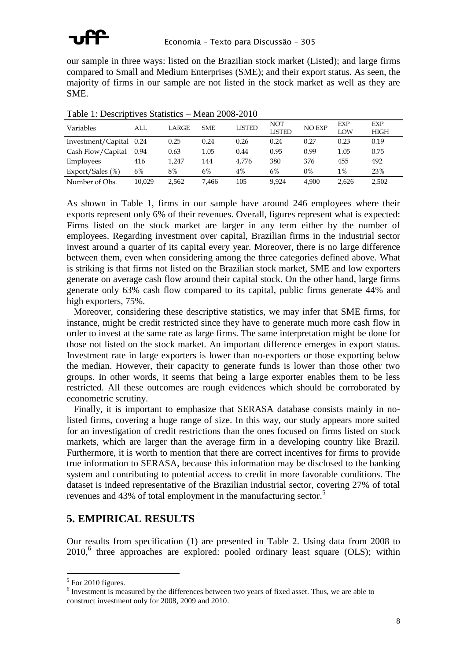our sample in three ways: listed on the Brazilian stock market (Listed); and large firms compared to Small and Medium Enterprises (SME); and their export status. As seen, the majority of firms in our sample are not listed in the stock market as well as they are SME.

| Variables               | AIJ.   | LARGE | <b>SME</b> | <b>LISTED</b> | <b>NOT</b><br>LISTED | <b>NO EXP</b> | EXP<br>LOW | EXP<br><b>HIGH</b> |
|-------------------------|--------|-------|------------|---------------|----------------------|---------------|------------|--------------------|
| Investment/Capital 0.24 |        | 0.25  | 0.24       | 0.26          | 0.24                 | 0.27          | 0.23       | 0.19               |
| Cash Flow/Capital       | 0.94   | 0.63  | 1.05       | 0.44          | 0.95                 | 0.99          | 1.05       | 0.75               |
| Employees               | 416    | 1.247 | 144        | 4.776         | 380                  | 376           | 455        | 492                |
| Export/Sales (%)        | 6%     | 8%    | 6%         | 4%            | 6%                   | 0%            | $1\%$      | 23%                |
| Number of Obs.          | 10.029 | 2.562 | 7.466      | 105           | 9.924                | 4.900         | 2,626      | 2.502              |

Table 1: Descriptives Statistics – Mean 2008-2010

As shown in Table 1, firms in our sample have around 246 employees where their exports represent only 6% of their revenues. Overall, figures represent what is expected: Firms listed on the stock market are larger in any term either by the number of employees. Regarding investment over capital, Brazilian firms in the industrial sector invest around a quarter of its capital every year. Moreover, there is no large difference between them, even when considering among the three categories defined above. What is striking is that firms not listed on the Brazilian stock market, SME and low exporters generate on average cash flow around their capital stock. On the other hand, large firms generate only 63% cash flow compared to its capital, public firms generate 44% and high exporters, 75%.

Moreover, considering these descriptive statistics, we may infer that SME firms, for instance, might be credit restricted since they have to generate much more cash flow in order to invest at the same rate as large firms. The same interpretation might be done for those not listed on the stock market. An important difference emerges in export status. Investment rate in large exporters is lower than no-exporters or those exporting below the median. However, their capacity to generate funds is lower than those other two groups. In other words, it seems that being a large exporter enables them to be less restricted. All these outcomes are rough evidences which should be corroborated by econometric scrutiny.

Finally, it is important to emphasize that SERASA database consists mainly in nolisted firms, covering a huge range of size. In this way, our study appears more suited for an investigation of credit restrictions than the ones focused on firms listed on stock markets, which are larger than the average firm in a developing country like Brazil. Furthermore, it is worth to mention that there are correct incentives for firms to provide true information to SERASA, because this information may be disclosed to the banking system and contributing to potential access to credit in more favorable conditions. The dataset is indeed representative of the Brazilian industrial sector, covering 27% of total revenues and 43% of total employment in the manufacturing sector.<sup>5</sup>

# **5. EMPIRICAL RESULTS**

Our results from specification (1) are presented in Table 2. Using data from 2008 to 2010,<sup>6</sup> three approaches are explored: pooled ordinary least square (OLS); within

 $\frac{5}{5}$  For 2010 figures.

<sup>&</sup>lt;sup>6</sup> Investment is measured by the differences between two years of fixed asset. Thus, we are able to construct investment only for 2008, 2009 and 2010.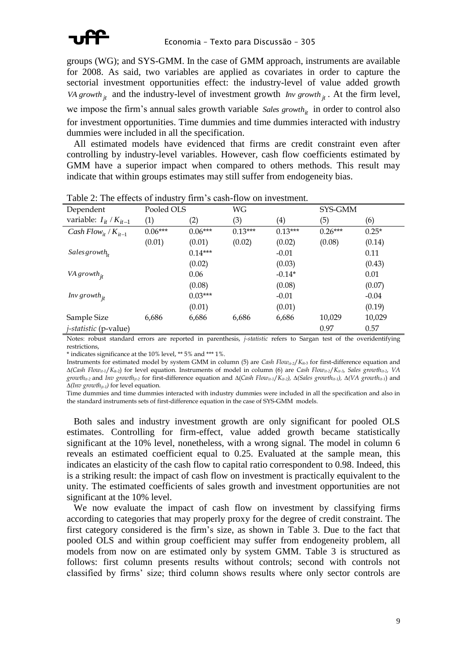

groups (WG); and SYS-GMM. In the case of GMM approach, instruments are available for 2008. As said, two variables are applied as covariates in order to capture the sectorial investment opportunities effect: the industry-level of value added growth VA growth  $_{it}$  and the industry-level of investment growth  $_{hv}$  growth  $_{it}$ . At the firm level, we impose the firm's annual sales growth variable *Sales growth*<sub>it</sub> in order to control also for investment opportunities. Time dummies and time dummies interacted with industry dummies were included in all the specification.

All estimated models have evidenced that firms are credit constraint even after controlling by industry-level variables. However, cash flow coefficients estimated by GMM have a superior impact when compared to others methods. This result may indicate that within groups estimates may still suffer from endogeneity bias.

| Dependent                            | Pooled OLS       |           | WG        |                  | SYS-GMM   |         |
|--------------------------------------|------------------|-----------|-----------|------------------|-----------|---------|
| variable: $I_{it}$ / $K_{it-1}$      | $\left(1\right)$ | (2)       | (3)       | $\left(4\right)$ | (5)       | (6)     |
| Cash Flow <sub>it</sub> / $K_{it-1}$ | $0.06***$        | $0.06***$ | $0.13***$ | $0.13***$        | $0.26***$ | $0.25*$ |
|                                      | (0.01)           | (0.01)    | (0.02)    | (0.02)           | (0.08)    | (0.14)  |
| $Sales growth_{i}$                   |                  | $0.14***$ |           | $-0.01$          |           | 0.11    |
|                                      |                  | (0.02)    |           | (0.03)           |           | (0.43)  |
| VA growth <sub>it</sub>              |                  | 0.06      |           | $-0.14*$         |           | 0.01    |
|                                      |                  | (0.08)    |           | (0.08)           |           | (0.07)  |
| <i>Inv</i> growth <sub>it</sub>      |                  | $0.03***$ |           | $-0.01$          |           | $-0.04$ |
|                                      |                  | (0.01)    |           | (0.01)           |           | (0.19)  |
| Sample Size                          | 6,686            | 6,686     | 6,686     | 6,686            | 10,029    | 10,029  |
| <i>j-statistic</i> (p-value)         |                  |           |           |                  | 0.97      | 0.57    |

Table 2: The effects of industry firm's cash-flow on investment.

Notes: robust standard errors are reported in parenthesis, j-statistic refers to Sargan test of the overidentifying restrictions.

\* indicates significance at the 10% level, \*\* 5% and \*\*\* 1%.

Instruments for estimated model by system GMM in column (5) are Cash Flow<sub>it-2</sub>/Kit-3 for first-difference equation and  $\Delta(Cash Flow_{it-1}/K_{it-2})$  for level equation. Instruments of model in column (6) are Cash Flow<sub>it-2</sub>/K<sub>it-3</sub>, Sales growth<sub>it-2</sub>, VA growth<sub>it-2</sub> and Inv growth<sub>it-2</sub> for first-difference equation and  $\Delta(Cash Flow_{ii-1}/K_{ii-2})$ ,  $\Delta(Sales growth_{ii-1})$ ,  $\Delta(VA$  growth<sub>it-1</sub>) and  $\Delta$ (Inv growth<sub>it-1</sub>) for level equation.

Time dummies and time dummies interacted with industry dummies were included in all the specification and also in the standard instruments sets of first-difference equation in the case of SYS-GMM models.

Both sales and industry investment growth are only significant for pooled OLS estimates. Controlling for firm-effect, value added growth became statistically significant at the 10% level, nonetheless, with a wrong signal. The model in column 6 reveals an estimated coefficient equal to 0.25. Evaluated at the sample mean, this indicates an elasticity of the cash flow to capital ratio correspondent to 0.98. Indeed, this is a striking result: the impact of cash flow on investment is practically equivalent to the unity. The estimated coefficients of sales growth and investment opportunities are not significant at the 10% level.

We now evaluate the impact of cash flow on investment by classifying firms according to categories that may properly proxy for the degree of credit constraint. The first category considered is the firm's size, as shown in Table 3. Due to the fact that pooled OLS and within group coefficient may suffer from endogeneity problem, all models from now on are estimated only by system GMM. Table 3 is structured as follows: first column presents results without controls; second with controls not classified by firms' size; third column shows results where only sector controls are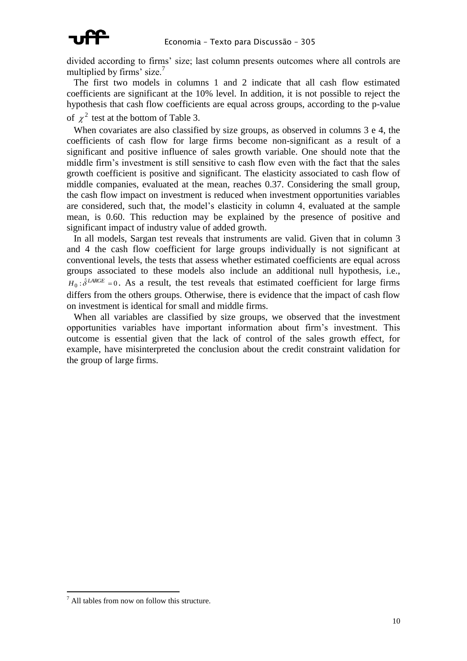

divided according to firms' size; last column presents outcomes where all controls are multiplied by firms' size.<sup>7</sup>

The first two models in columns 1 and 2 indicate that all cash flow estimated coefficients are significant at the 10% level. In addition, it is not possible to reject the hypothesis that cash flow coefficients are equal across groups, according to the p-value of  $\chi^2$  test at the bottom of Table 3.

When covariates are also classified by size groups, as observed in columns 3 e 4, the coefficients of cash flow for large firms become non-significant as a result of a significant and positive influence of sales growth variable. One should note that the middle firm's investment is still sensitive to cash flow even with the fact that the sales growth coefficient is positive and significant. The elasticity associated to cash flow of middle companies, evaluated at the mean, reaches 0.37. Considering the small group, the cash flow impact on investment is reduced when investment opportunities variables are considered, such that, the model's elasticity in column 4, evaluated at the sample mean, is 0.60. This reduction may be explained by the presence of positive and significant impact of industry value of added growth.

In all models, Sargan test reveals that instruments are valid. Given that in column 3 and 4 the cash flow coefficient for large groups individually is not significant at conventional levels, the tests that assess whether estimated coefficients are equal across groups associated to these models also include an additional null hypothesis, i.e.,  $H_0: \hat{\delta}^{LARGE} = 0$ . As a result, the test reveals that estimated coefficient for large firms differs from the others groups. Otherwise, there is evidence that the impact of cash flow on investment is identical for small and middle firms.

When all variables are classified by size groups, we observed that the investment opportunities variables have important information about firm's investment. This outcome is essential given that the lack of control of the sales growth effect, for example, have misinterpreted the conclusion about the credit constraint validation for the group of large firms.

1

 $<sup>7</sup>$  All tables from now on follow this structure.</sup>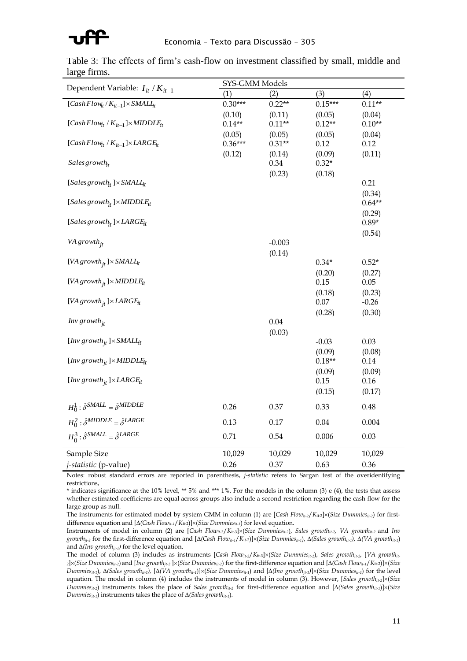

|              | Table 3: The effects of firm's cash-flow on investment classified by small, middle and |
|--------------|----------------------------------------------------------------------------------------|
| large firms. |                                                                                        |
|              | SVS_CMM Models                                                                         |

| Dependent Variable: $I_{it}$ / $K_{it-1}$                  | אוואוס-GIVIINI MOUEIS |          |           |          |  |
|------------------------------------------------------------|-----------------------|----------|-----------|----------|--|
|                                                            | (1)                   | (2)      | (3)       | (4)      |  |
| $[CashFlow_{it}/K_{it-1}]\times SMALL_{it}$                | $0.30***$             | $0.22**$ | $0.15***$ | $0.11**$ |  |
|                                                            | (0.10)                | (0.11)   | (0.05)    | (0.04)   |  |
| $[CashFlow_{it} / K_{it-1}] \times MIDDLE_{it}$            | $0.14**$              | $0.11**$ | $0.12**$  | $0.10**$ |  |
|                                                            | (0.05)                | (0.05)   | (0.05)    | (0.04)   |  |
| $[CashFlow_{it} / K_{it-1}] \times LARGE_{it}$             | $0.36***$             | $0.31**$ | 0.12      | 0.12     |  |
|                                                            | (0.12)                | (0.14)   | (0.09)    | (0.11)   |  |
| Sales growth <sub>it</sub>                                 |                       | 0.34     | $0.32*$   |          |  |
|                                                            |                       | (0.23)   | (0.18)    |          |  |
| [Sales growth <sub>it</sub> ] $\times$ SMALL <sub>it</sub> |                       |          |           | 0.21     |  |
|                                                            |                       |          |           | (0.34)   |  |
| [Sales growth <sub>it</sub> ] × MIDDLE <sub>it</sub>       |                       |          |           | $0.64**$ |  |
|                                                            |                       |          |           | (0.29)   |  |
| [Sales growth <sub>it</sub> ] $\times LARGE_{it}$          |                       |          |           | $0.89*$  |  |
|                                                            |                       |          |           | (0.54)   |  |
| VA growth <sub>it</sub>                                    |                       | $-0.003$ |           |          |  |
|                                                            |                       | (0.14)   |           |          |  |
| [VA growth <sub>it</sub> ] $\times$ SMALL <sub>it</sub>    |                       |          | $0.34*$   | $0.52*$  |  |
|                                                            |                       |          | (0.20)    | (0.27)   |  |
| [VA growth <sub>it</sub> ] $\times MIDDLE_{it}$            |                       |          | 0.15      | 0.05     |  |
|                                                            |                       |          | (0.18)    | (0.23)   |  |
| [VA growth <sub>jt</sub> ] $\times LARGE_{it}$             |                       |          | 0.07      | $-0.26$  |  |
|                                                            |                       |          | (0.28)    | (0.30)   |  |
| $Inv$ growth <sub>it</sub>                                 |                       | 0.04     |           |          |  |
|                                                            |                       | (0.03)   |           |          |  |
| $[Inv\ growth_{jt}] \times SMALL_{it}$                     |                       |          | $-0.03$   | 0.03     |  |
|                                                            |                       |          | (0.09)    | (0.08)   |  |
| [ $Inv\ growth_{it}$ ]×MIDDL $E_{it}$                      |                       |          | $0.18**$  | 0.14     |  |
|                                                            |                       |          | (0.09)    | (0.09)   |  |
| [ $Inv\ growth_{it}$ ]×LARGE $_{it}$                       |                       |          | 0.15      | 0.16     |  |
|                                                            |                       |          | (0.15)    | (0.17)   |  |
| $H_0^1$ : $\hat{\delta}^{SMALL} = \hat{\delta}^{MIDDLE}$   | 0.26                  | 0.37     | 0.33      | 0.48     |  |
| $H_0^2$ : $\hat{\delta}^{MIDDLE} = \hat{\delta}^{LARGE}$   | 0.13                  | 0.17     | 0.04      | 0.004    |  |
| $H_0^3$ : $\hat{\delta}^{SMALL} = \hat{\delta}^{LARGE}$    | 0.71                  | 0.54     | 0.006     | 0.03     |  |
| Sample Size                                                | 10,029                | 10,029   | 10,029    | 10,029   |  |
| j-statistic (p-value)                                      | 0.26                  | 0.37     | 0.63      | 0.36     |  |

Notes: robust standard errors are reported in parenthesis, j-statistic refers to Sargan test of the overidentifying restrictions,

\* indicates significance at the 10% level, \*\* 5% and \*\*\* 1%. For the models in the column (3) e (4), the tests that assess whether estimated coefficients are equal across groups also include a second restriction regarding the cash flow for the large group as null.

The instruments for estimated model by system GMM in column (1) are [Cash Flow<sub>it-2</sub>/K<sub>it-3</sub>]×(Size Dummies<sub>it-2</sub>) for firstdifference equation and  $[\Delta(Cash Flow_{it-1}/K_{it-2})] \times (Size Dummies_{it-1})$  for level equation.

Instruments of model in column (2) are  $\lceil \text{Cash Flow}_{it-2} / K_{it-3} \rceil \times (Size \text{ Dummies}_{it-2}), \text{ Sales growth}_{it-2} \text{ VA growth}_{it-2}$  and Inv growth<sub>it-2</sub> for the first-difference equation and  $[\Delta(Cash Flow_{it-1}/K_{it-2})] \times (Size Dummies_{it-1})$ ,  $\Delta(Sales growth_{it-1})$ ,  $\Delta(VA growth_{it-1})$ and  $\Delta$ (Inv growth<sub>it-1</sub>) for the level equation.

The model of column (3) includes as instruments [Cash Flow<sub>it2</sub>/K<sub>it3</sub>]×(Size Dummies<sub>it2</sub>), Sales growth<sub>it-2</sub>, [VA growth<sub>it</sub>.  $_2\times$ (Size Dummies<sub>it-2</sub>) and [Inv growth<sub>it-2</sub>]  $\times$ (Size Dummies<sub>it-2</sub>) for the first-difference equation and [ $\Delta$ (Cash Flow<sub>it-1</sub>/K<sub>it-2</sub>)]  $\times$ (Size Dummies<sub>it-1</sub>),  $\Delta(Sales\ growth_{it-1})$ ,  $[\Delta(VA\ growth_{it-1})] \times (Size\ Dummies_{it-1})$  and  $[\Delta(Inv\ growth_{jt-1})] \times (Size\ Dummies_{it-1})$  for the level equation. The model in column (4) includes the instruments of model in column (3). However, [Sales growth<sub>it-2</sub>]×(Size Dummies<sub>it2</sub>) instruments takes the place of Sales growth<sub>it2</sub> for first-difference equation and [ $\Delta$ (Sales growth<sub>it1</sub>]]×(Size Dummies<sub>it-1</sub>) instruments takes the place of  $\Delta(Sales growth_{it-1})$ .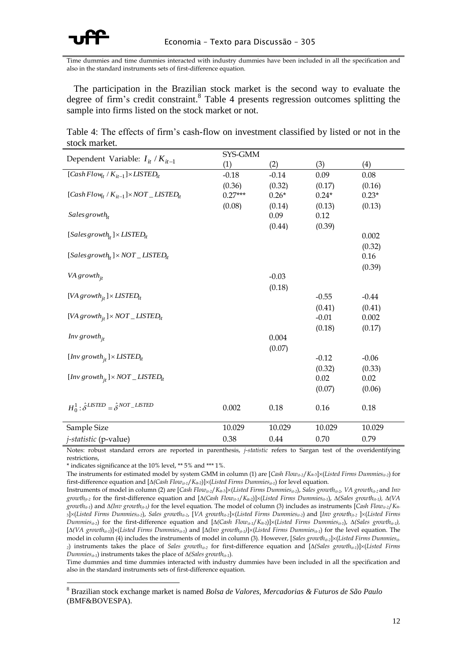

Time dummies and time dummies interacted with industry dummies have been included in all the specification and also in the standard instruments sets of first-difference equation.

The participation in the Brazilian stock market is the second way to evaluate the degree of firm's credit constraint.<sup>8</sup> Table 4 presents regression outcomes splitting the sample into firms listed on the stock market or not.

Table 4: The effects of firm's cash-flow on investment classified by listed or not in the stock market.

| SYS-GMM   |                         |                                                      |                                                                                                         |  |  |  |
|-----------|-------------------------|------------------------------------------------------|---------------------------------------------------------------------------------------------------------|--|--|--|
| (1)       | (2)                     | (3)                                                  | (4)                                                                                                     |  |  |  |
| $-0.18$   | $-0.14$                 | 0.09                                                 | 0.08                                                                                                    |  |  |  |
| (0.36)    | (0.32)                  | (0.17)                                               | (0.16)                                                                                                  |  |  |  |
| $0.27***$ | $0.26*$                 | $0.24*$                                              | $0.23*$                                                                                                 |  |  |  |
| (0.08)    | (0.14)                  | (0.13)                                               | (0.13)                                                                                                  |  |  |  |
|           | 0.09                    | 0.12                                                 |                                                                                                         |  |  |  |
|           | (0.44)                  | (0.39)                                               |                                                                                                         |  |  |  |
|           |                         |                                                      | 0.002                                                                                                   |  |  |  |
|           |                         |                                                      | (0.32)                                                                                                  |  |  |  |
|           |                         |                                                      | 0.16                                                                                                    |  |  |  |
|           |                         |                                                      | (0.39)                                                                                                  |  |  |  |
|           |                         |                                                      |                                                                                                         |  |  |  |
|           | (0.18)                  |                                                      |                                                                                                         |  |  |  |
|           |                         |                                                      | $-0.44$                                                                                                 |  |  |  |
|           |                         |                                                      | (0.41)                                                                                                  |  |  |  |
|           |                         |                                                      | 0.002                                                                                                   |  |  |  |
|           |                         |                                                      | (0.17)                                                                                                  |  |  |  |
|           |                         |                                                      |                                                                                                         |  |  |  |
|           |                         |                                                      |                                                                                                         |  |  |  |
|           |                         |                                                      | $-0.06$                                                                                                 |  |  |  |
|           |                         |                                                      | (0.33)                                                                                                  |  |  |  |
|           |                         |                                                      | 0.02                                                                                                    |  |  |  |
|           |                         |                                                      | (0.06)                                                                                                  |  |  |  |
|           |                         |                                                      |                                                                                                         |  |  |  |
|           |                         |                                                      | 0.18                                                                                                    |  |  |  |
|           |                         |                                                      | 10.029                                                                                                  |  |  |  |
|           |                         |                                                      | 0.79                                                                                                    |  |  |  |
|           | 0.002<br>10.029<br>0.38 | $-0.03$<br>0.004<br>(0.07)<br>0.18<br>10.029<br>0.44 | $-0.55$<br>(0.41)<br>$-0.01$<br>(0.18)<br>$-0.12$<br>(0.32)<br>0.02<br>(0.07)<br>0.16<br>10.029<br>0.70 |  |  |  |

Notes: robust standard errors are reported in parenthesis, *j-statistic* refers to Sargan test of the overidentifying restrictions,

\* indicates significance at the 10% level, \*\* 5% and \*\*\* 1%.

<u>.</u>

The instruments for estimated model by system GMM in column (1) are [*Cash Flowit-2*/*K*it-3](*Listed Firms Dummiesit-2*) for first-difference equation and [*∆(Cash Flowit-1*/*K*it-2)](*Listed Firms Dummiesit-1*) for level equation.

Instruments of model in column (2) are [*Cash Flowit-2*/*K*it-3](*Listed Firms Dummiesit-2*), *Sales growthit-2, VA growthit-2* and *Inv growthjt-2* for the first-difference equation and [*∆(Cash Flowit-1*/*K*it-2)](*Listed Firms Dummiesit-1*), *∆(Sales growthit-1), ∆(VA growthit-1*) and *∆(Inv growthjt-1)* for the level equation. The model of column (3) includes as instruments [*Cash Flowit-2*/*K*it-<sup>3</sup>](*Listed Firms Dummiesit-2*), *Sales growthit-2*, [*VA growthit-2*](*Listed Firms Dummiesit-2*) and [*Inv growthjt-2* ](*Listed Firms Dummies*<sub>*it-2*</sub>) for the first-difference equation and  $[\Delta(Cash Flow_{it-1}/K_{it-2})] \times (Listed Firms Dummies_{it-1}), \Delta(Sales growth_{it-1}),$ [*∆(VA growthit-1*)](*Listed Firms Dummiesit-1*) and [*∆(Inv growthjt-1)*](*Listed Firms Dummiesit-1*) for the level equation. The model in column (4) includes the instruments of model in column (3). However, [*Sales growth<sub>it-2</sub>*] $\times$ (*Listed Firms Dummies<sub>it-</sub> <sup>2</sup>*) instruments takes the place of *Sales growthit-2* for first-difference equation and [*∆(Sales growthit-1*)](*Listed Firms Dummiesit-1*) instruments takes the place of *∆(Sales growthit-1*).

Time dummies and time dummies interacted with industry dummies have been included in all the specification and also in the standard instruments sets of first-difference equation.

<sup>8</sup> Brazilian stock exchange market is named *Bolsa de Valores, Mercadorias & Futuros de São Paulo* (BMF&BOVESPA).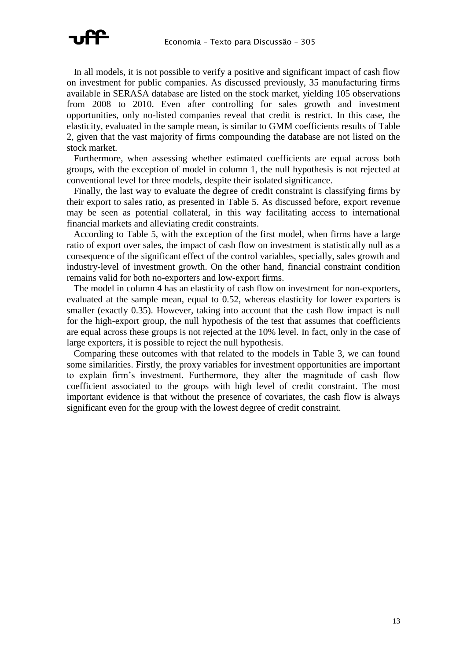

In all models, it is not possible to verify a positive and significant impact of cash flow on investment for public companies. As discussed previously, 35 manufacturing firms available in SERASA database are listed on the stock market, yielding 105 observations from 2008 to 2010. Even after controlling for sales growth and investment opportunities, only no-listed companies reveal that credit is restrict. In this case, the elasticity, evaluated in the sample mean, is similar to GMM coefficients results of Table 2, given that the vast majority of firms compounding the database are not listed on the stock market.

Furthermore, when assessing whether estimated coefficients are equal across both groups, with the exception of model in column 1, the null hypothesis is not rejected at conventional level for three models, despite their isolated significance.

Finally, the last way to evaluate the degree of credit constraint is classifying firms by their export to sales ratio, as presented in Table 5. As discussed before, export revenue may be seen as potential collateral, in this way facilitating access to international financial markets and alleviating credit constraints.

According to Table 5, with the exception of the first model, when firms have a large ratio of export over sales, the impact of cash flow on investment is statistically null as a consequence of the significant effect of the control variables, specially, sales growth and industry-level of investment growth. On the other hand, financial constraint condition remains valid for both no-exporters and low-export firms.

The model in column 4 has an elasticity of cash flow on investment for non-exporters, evaluated at the sample mean, equal to 0.52, whereas elasticity for lower exporters is smaller (exactly 0.35). However, taking into account that the cash flow impact is null for the high-export group, the null hypothesis of the test that assumes that coefficients are equal across these groups is not rejected at the 10% level. In fact, only in the case of large exporters, it is possible to reject the null hypothesis.

Comparing these outcomes with that related to the models in Table 3, we can found some similarities. Firstly, the proxy variables for investment opportunities are important to explain firm's investment. Furthermore, they alter the magnitude of cash flow coefficient associated to the groups with high level of credit constraint. The most important evidence is that without the presence of covariates, the cash flow is always significant even for the group with the lowest degree of credit constraint.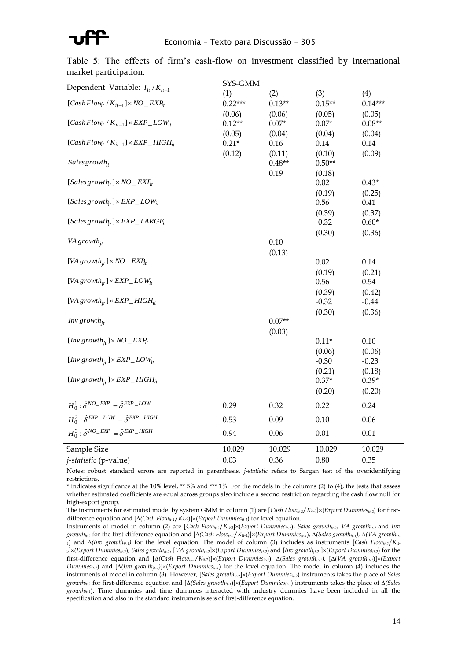

|                       |  |  |  |  |  | Table 5: The effects of firm's cash-flow on investment classified by international |
|-----------------------|--|--|--|--|--|------------------------------------------------------------------------------------|
| market participation. |  |  |  |  |  |                                                                                    |

| Dependent Variable: $I_{it} / K_{it-1}$                        | SYS-GMM   |           |          |           |  |  |  |
|----------------------------------------------------------------|-----------|-----------|----------|-----------|--|--|--|
|                                                                | (1)       | (2)       | (3)      | (4)       |  |  |  |
| $[CashFlow_{it} / K_{it-1}] \times NO\_EXP_{it}$               | $0.22***$ | $0.13***$ | $0.15**$ | $0.14***$ |  |  |  |
|                                                                | (0.06)    | (0.06)    | (0.05)   | (0.05)    |  |  |  |
| $[CashFlow_{it} / K_{it-1}] \times EXP\_LOW_{it}$              | $0.12**$  | $0.07*$   | $0.07*$  | $0.08**$  |  |  |  |
|                                                                | (0.05)    | (0.04)    | (0.04)   | (0.04)    |  |  |  |
| $[CashFlow_{it} / K_{it-1}] \times EXP\_HIGH_{it}$             | $0.21*$   | 0.16      | 0.14     | 0.14      |  |  |  |
|                                                                | (0.12)    | (0.11)    | (0.10)   | (0.09)    |  |  |  |
| Sales growth                                                   |           | $0.48**$  | $0.50**$ |           |  |  |  |
|                                                                |           | 0.19      | (0.18)   |           |  |  |  |
| [Sales growth <sub>t</sub> ] $\times NO$ _ $EXP_{it}$          |           |           | 0.02     | $0.43*$   |  |  |  |
|                                                                |           |           | (0.19)   | (0.25)    |  |  |  |
| [Sales growth <sub>t</sub> ] $\times EXP\_LOW_{it}$            |           |           | 0.56     | 0.41      |  |  |  |
|                                                                |           |           | (0.39)   | (0.37)    |  |  |  |
| [Sales growth <sub>t</sub> ] $\times EXP\_LARGE_{it}$          |           |           | $-0.32$  | $0.60*$   |  |  |  |
|                                                                |           |           | (0.30)   | (0.36)    |  |  |  |
| VA growth <sub>it</sub>                                        |           | 0.10      |          |           |  |  |  |
|                                                                |           | (0.13)    |          |           |  |  |  |
| [VA growth <sub>it</sub> ] $\times NO$ _ $EXP_{it}$            |           |           | 0.02     | 0.14      |  |  |  |
|                                                                |           |           | (0.19)   | (0.21)    |  |  |  |
| [VA growth <sub>it</sub> ] $\times EXP\_LOW_{it}$              |           |           | 0.56     | 0.54      |  |  |  |
|                                                                |           |           | (0.39)   | (0.42)    |  |  |  |
| [VA growth <sub>it</sub> ] $\times EXP$ HIGH <sub>it</sub>     |           |           | $-0.32$  | $-0.44$   |  |  |  |
|                                                                |           |           | (0.30)   | (0.36)    |  |  |  |
| $Inv$ growth <sub>it</sub>                                     |           | $0.07**$  |          |           |  |  |  |
|                                                                |           | (0.03)    |          |           |  |  |  |
| $[Inv\ growth_{it}] \times NO\_EXP_{it}$                       |           |           | $0.11*$  | 0.10      |  |  |  |
|                                                                |           |           | (0.06)   | (0.06)    |  |  |  |
| $[Inv\ growth_{it}] \times EXP\_LOW_{it}$                      |           |           | $-0.30$  | $-0.23$   |  |  |  |
|                                                                |           |           | (0.21)   | (0.18)    |  |  |  |
| $[Inv\ growth_{it}] \times EXP\_HIGH_{it}$                     |           |           | $0.37*$  | $0.39*$   |  |  |  |
|                                                                |           |           | (0.20)   | (0.20)    |  |  |  |
| $H_0^1$ : $\hat{\delta}^{NO-EXP} = \hat{\delta}^{EXP-LOW}$     | 0.29      | 0.32      | 0.22     | 0.24      |  |  |  |
| $H_0^2$ : $\hat{\delta}^{EXP\_LOW} = \hat{\delta}^{EXP\_HIGH}$ | 0.53      | 0.09      | 0.10     | 0.06      |  |  |  |
| $H_0^3$ : $\hat{\delta}^{NO-EXP} = \hat{\delta}^{EXP-HIGH}$    | 0.94      | 0.06      | 0.01     | 0.01      |  |  |  |
| Sample Size                                                    | 10.029    | 10.029    | 10.029   | 10.029    |  |  |  |
| <i>j-statistic</i> (p-value)                                   | 0.03      | 0.36      | 0.80     | 0.35      |  |  |  |

Notes: robust standard errors are reported in parenthesis, *j-statistic* refers to Sargan test of the overidentifying restrictions.

\* indicates significance at the 10% level, \*\* 5% and \*\*\* 1%. For the models in the columns (2) to (4), the tests that assess whether estimated coefficients are equal across groups also include a second restriction regarding the cash flow null for high-export group.

The instruments for estimated model by system GMM in column (1) are  $[Cash Flow_{it-2}/K_{it-3}] \times (Export Dummies_{it-2})$  for firstdifference equation and  $[\Delta(Cash Flow_{it-1}/K_{it-2})] \times (Export~Dummies_{it-1})$  for level equation.

Instruments of model in column (2) are  $[Cash Flow_{it-2}/K_{it-3}] \times (Explor+Dummies_{it-2})$ , Sales growth<sub>it-2</sub>, VA growth<sub>it-2</sub> and Inv growth<sub>jt-2</sub> for the first-difference equation and [ $\Delta$ (Cash Flow<sub>it-1</sub>/K<sub>it-2</sub>)]×(Export Dummies<sub>it-1</sub>),  $\Delta$ (Sales growth<sub>it-1</sub>),  $\Delta$ (VA growth<sub>it-1</sub>  $_1$ ) and  $\Delta(Inv\ growth_{i+1})$  for the level equation. The model of column (3) includes as instruments [Cash Flow<sub>it2</sub>/K<sub>it</sub>  $s$ ]×(Export Dummies<sub>it-2</sub>), Sales growth<sub>it-2</sub>, [VA growth<sub>it-2</sub>]×(Export Dummies<sub>it-2</sub>) and [Inv growth<sub>it-2</sub>]×(Export Dummies<sub>it-2</sub>) for the first-difference equation and  $[\Delta(Cash \ Flow_{it-1}/K_{it-2})] \times (Export \ Dummies_{it-1})$ ,  $\Delta(Sales \ growth_{it-1})$ ,  $[\Delta(VA \ growth_{it-1})] \times (Export \ h_{it-1})$ Dummies<sub>it-1</sub>) and  $[\Delta(Inv\ growth_{it-1})] \times (Export\ Dummies_{it-1})$  for the level equation. The model in column (4) includes the instruments of model in column (3). However, [Sales growth<sub>it2</sub>]×(*Export Dummies<sub>it2</sub>*) instruments takes the place of Sales growth<sub>it-2</sub> for first-difference equation and  $[\Delta(Sales growth_{it-1})] \times (Expert~Dummies_{it-1})$  instruments takes the place of  $\Delta(Sales)$  $growth_{it-1}$ ). Time dummies and time dummies interacted with industry dummies have been included in all the specification and also in the standard instruments sets of first-difference equation.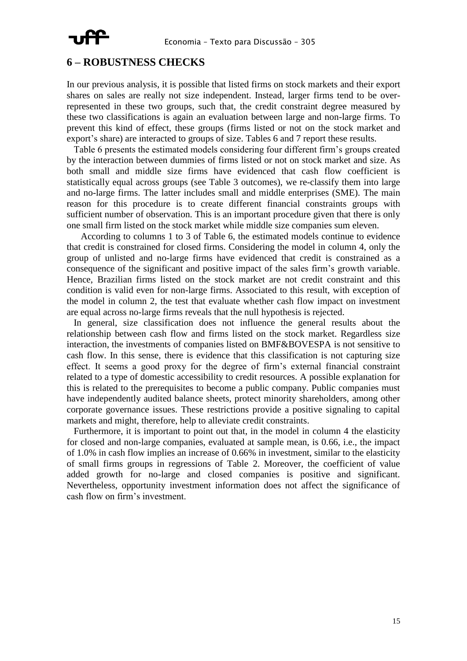

### **6 – ROBUSTNESS CHECKS**

In our previous analysis, it is possible that listed firms on stock markets and their export shares on sales are really not size independent. Instead, larger firms tend to be overrepresented in these two groups, such that, the credit constraint degree measured by these two classifications is again an evaluation between large and non-large firms. To prevent this kind of effect, these groups (firms listed or not on the stock market and export's share) are interacted to groups of size. Tables 6 and 7 report these results.

Table 6 presents the estimated models considering four different firm's groups created by the interaction between dummies of firms listed or not on stock market and size. As both small and middle size firms have evidenced that cash flow coefficient is statistically equal across groups (see Table 3 outcomes), we re-classify them into large and no-large firms. The latter includes small and middle enterprises (SME). The main reason for this procedure is to create different financial constraints groups with sufficient number of observation. This is an important procedure given that there is only one small firm listed on the stock market while middle size companies sum eleven.

 According to columns 1 to 3 of Table 6, the estimated models continue to evidence that credit is constrained for closed firms. Considering the model in column 4, only the group of unlisted and no-large firms have evidenced that credit is constrained as a consequence of the significant and positive impact of the sales firm's growth variable. Hence, Brazilian firms listed on the stock market are not credit constraint and this condition is valid even for non-large firms. Associated to this result, with exception of the model in column 2, the test that evaluate whether cash flow impact on investment are equal across no-large firms reveals that the null hypothesis is rejected.

In general, size classification does not influence the general results about the relationship between cash flow and firms listed on the stock market. Regardless size interaction, the investments of companies listed on BMF&BOVESPA is not sensitive to cash flow. In this sense, there is evidence that this classification is not capturing size effect. It seems a good proxy for the degree of firm's external financial constraint related to a type of domestic accessibility to credit resources. A possible explanation for this is related to the prerequisites to become a public company. Public companies must have independently audited balance sheets, protect minority shareholders, among other corporate governance issues. These restrictions provide a positive signaling to capital markets and might, therefore, help to alleviate credit constraints.

Furthermore, it is important to point out that, in the model in column 4 the elasticity for closed and non-large companies, evaluated at sample mean, is 0.66, i.e., the impact of 1.0% in cash flow implies an increase of 0.66% in investment, similar to the elasticity of small firms groups in regressions of Table 2. Moreover, the coefficient of value added growth for no-large and closed companies is positive and significant. Nevertheless, opportunity investment information does not affect the significance of cash flow on firm's investment.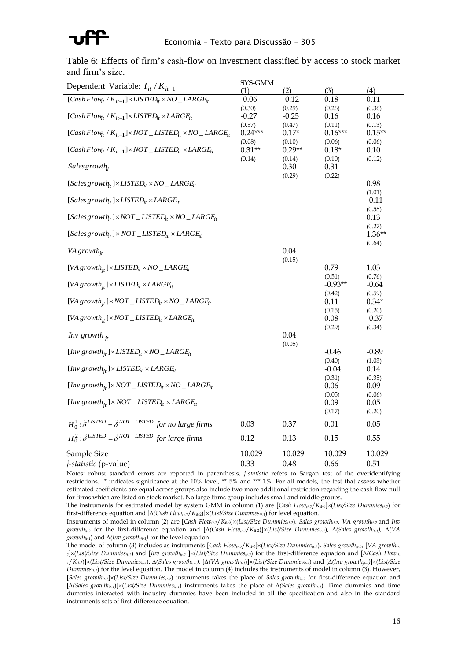| Dependent Variable: $I_{it}$ / $K_{it-1}$                                                  | SYS-GMM<br>(1)     | (2)                      | (3)                 | (4)                 |
|--------------------------------------------------------------------------------------------|--------------------|--------------------------|---------------------|---------------------|
| $[CashFlow_{it} / K_{it-1}] \times LISTED_{it} \times NO\_LARGE_{it}$                      | $-0.06$            | $-0.12$                  | 0.18                | 0.11                |
|                                                                                            | (0.30)             | (0.29)                   | (0.26)              | (0.36)              |
| $[CashFlow_{it} / K_{it-1}] \times LISTED_{it} \times LARGE_{it}$                          | $-0.27$            | $-0.25$                  | 0.16                | 0.16                |
|                                                                                            | (0.57)             | (0.47)                   | (0.11)              | (0.13)              |
| $[CashFlow_{it} / K_{it-1}] \times NOT \_ LISTED_{it} \times NO \_ LARGE_{it}$             | $0.24***$          | $0.17*$                  | $0.16***$           | $0.15**$            |
| $[CashFlow_{it} / K_{it-1}] \times NOT \_ LISTED_{it} \times LARGE_{it}$                   | (0.08)<br>$0.31**$ | (0.10)<br>$0.29**$       | (0.06)<br>$0.18*$   | (0.06)<br>0.10      |
| Sales growth,                                                                              | (0.14)             | (0.14)<br>0.30<br>(0.29) | (0.10)<br>0.31      | (0.12)              |
| [Sales growth <sub>t1</sub> ] × LISTED <sub>it</sub> × NO _ LARGE <sub>it</sub>            |                    |                          | (0.22)              | 0.98                |
| [Sales growth <sub>t1</sub> ] × LISTED <sub>it</sub> × LARGE <sub>it</sub>                 |                    |                          |                     | (1.01)<br>$-0.11$   |
| [Sales growth <sub>t</sub> ] × NOT _ LISTED <sub>it</sub> × NO _ LARGE <sub>it</sub>       |                    |                          |                     | (0.58)<br>0.13      |
| [Sales growth <sub>t</sub> ] $\times NOT\_LISTED_{it} \times LARGE_{it}$                   |                    |                          |                     | (0.27)<br>$1.36***$ |
| VA growth <sub>it</sub>                                                                    |                    | 0.04                     |                     | (0.64)              |
| [VA growth <sub>it</sub> ] $\times$ LISTED <sub>it</sub> $\times NO$ _ LARGE <sub>it</sub> |                    | (0.15)                   | 0.79                | 1.03                |
| $[VA\, growth_{it}] \times LISTED_{it} \times LARGE_{it}$                                  |                    |                          | (0.51)<br>$-0.93**$ | (0.76)<br>$-0.64$   |
| [VA growth <sub>it</sub> ]×NOT_LISTED <sub>it</sub> ×NO_LARGE <sub>it</sub>                |                    |                          | (0.42)<br>0.11      | (0.59)<br>$0.34*$   |
| [VA growth <sub>it</sub> ]×NOT_LISTED <sub>it</sub> ×LARGE <sub>it</sub>                   |                    |                          | (0.15)<br>0.08      | (0.20)<br>-0.37     |
|                                                                                            |                    |                          | (0.29)              | (0.34)              |
| <i>Inv</i> growth $\mu$                                                                    |                    | 0.04                     |                     |                     |
|                                                                                            |                    | (0.05)                   |                     |                     |
| [ $Inv\ growth_{it}$ ]×LISTED $_{it}$ ×NO_LARGE $_{it}$                                    |                    |                          | $-0.46$<br>(0.40)   | $-0.89$<br>(1.03)   |
| [ $Inv\ growth_{it}$ ] × $LISTED_{it}$ × $LARGE_{it}$                                      |                    |                          | $-0.04$             | 0.14                |
|                                                                                            |                    |                          | (0.31)              | (0.35)              |
| [ $Inv\ growth_{it}$ ]×NOT_LISTED <sub>it</sub> ×NO_LARGE <sub>it</sub>                    |                    |                          | 0.06                | 0.09                |
|                                                                                            |                    |                          | (0.05)              | (0.06)              |
| $[Inv\ growth_{it}] \times NOT\_LISTED_{it} \times LARGE_{it}$                             |                    |                          | 0.09                | 0.05                |
|                                                                                            |                    |                          | (0.17)              | (0.20)              |
| $H_0^1$ : $\hat{\delta}^{LISTED} = \hat{\delta}^{NOT}$ – LISTED for no large firms         | 0.03               | 0.37                     | 0.01                | 0.05                |
| $H_0^2$ : $\hat{\delta}^{LISTED} = \hat{\delta}^{NOT}$ -LISTED for large firms             | 0.12               | 0.13                     | 0.15                | 0.55                |
| Sample Size                                                                                | 10.029             | 10.029                   | 10.029              | 10.029              |
| <i>i-statistic</i> (p-value)                                                               | 0.33               | 0.48                     | 0.66                | 0.51                |

Table 6: Effects of firm's cash-flow on investment classified by access to stock market and firm's size.

Notes: robust standard errors are reported in parenthesis, *j-statistic* refers to Sargan test of the overidentifying restrictions. \* indicates significance at the 10% level, \*\* 5% and \*\*\* 1%. For all models, the test that assess whether estimated coefficients are equal across groups also include two more additional restriction regarding the cash flow null for firms which are listed on stock market. No large firms group includes small and middle groups.

The instruments for estimated model by system GMM in column (1) are  $[Cash Flow_{ik2}/K_{ik3}] \times (List/Size Dummise_{ik2})$  for first-difference equation and  $[\Delta(Cash Flow_{it-1}/K_{it-2})] \times (List/Size Dummies_{it-1})$  for level equation.

Instruments of model in column (2) are [Cash Flow<sub>it-2</sub>/Kit-3]×(List/Size Dummies<sub>it-2</sub>), Sales growth<sub>it-2</sub>, VA growth<sub>it-2</sub> and Inv growth<sub>it-2</sub> for the first-difference equation and  $[\Delta(Cash Flow_{it-1}/K_{it-2})] \times (List/Size~Dummies_{it-1}), \Delta(Sales~growth_{it-1}), \Delta(VA)$ growth<sub>it-1</sub>) and  $\Delta(Inv\ growth_{it-1})$  for the level equation.

The model of column (3) includes as instruments [Cash Flow<sub>it-2</sub>/K<sub>it-3</sub>]×(List/Size Dummies<sub>it-2</sub>), Sales growth<sub>it-2</sub>, [VA growth<sub>it-</sub>  $_2\times (List/Size\ Dummies_{ii-2})$  and [Inv growth<sub>it-2</sub>]  $\times (List/Size\ Dummies_{ii-2})$  for the first-difference equation and [ $\Delta(Ca\bar{s}h\ Flow_{ii-2})$  $_{1}/K_{ik2}$ ]|x(List/Size Dummies<sub>it-1</sub>),  $\Delta$ (Sales growth<sub>it-1</sub>), [ $\Delta$ (VA growth<sub>it-1</sub>]]x(List/Size Dummies<sub>it-1</sub>) and [ $\Delta$ (Inv growth<sub>it-1</sub>]]x(List/Size  $Dummies_{it-1}$ ) for the level equation. The model in column (4) includes the instruments of model in column (3). However, [Sales growth<sub>it-2</sub>]×(List/Size Dummies<sub>it-2</sub>) instruments takes the place of Sales growth<sub>it-2</sub> for first-difference equation and [ $\Delta(Sales growth_{ii-1})$ ]×(List/Size Dummies<sub>it-1</sub>) instruments takes the place of  $\Delta(Sales growuth_{ii-1})$ . Time dummies and time dummies interacted with industry dummies have been included in all the specification and also in the standard instruments sets of first-difference equation.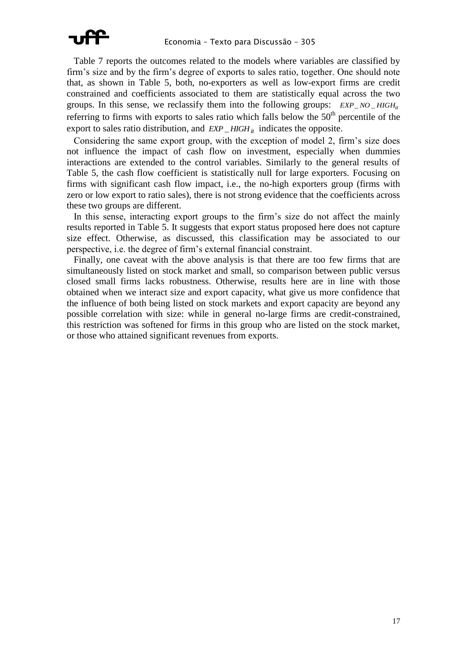

 Table 7 reports the outcomes related to the models where variables are classified by firm's size and by the firm's degree of exports to sales ratio, together. One should note that, as shown in Table 5, both, no-exporters as well as low-export firms are credit constrained and coefficients associated to them are statistically equal across the two groups. In this sense, we reclassify them into the following groups: *EXP\_NO\_HIGH*<sup>*it*</sup> referring to firms with exports to sales ratio which falls below the  $50<sup>th</sup>$  percentile of the export to sales ratio distribution, and  $EXP$ <sub>*it*</sub> indicates the opposite.

Considering the same export group, with the exception of model 2, firm's size does not influence the impact of cash flow on investment, especially when dummies interactions are extended to the control variables. Similarly to the general results of Table 5, the cash flow coefficient is statistically null for large exporters. Focusing on firms with significant cash flow impact, i.e., the no-high exporters group (firms with zero or low export to ratio sales), there is not strong evidence that the coefficients across these two groups are different.

In this sense, interacting export groups to the firm's size do not affect the mainly results reported in Table 5. It suggests that export status proposed here does not capture size effect. Otherwise, as discussed, this classification may be associated to our perspective, i.e. the degree of firm's external financial constraint.

Finally, one caveat with the above analysis is that there are too few firms that are simultaneously listed on stock market and small, so comparison between public versus closed small firms lacks robustness. Otherwise, results here are in line with those obtained when we interact size and export capacity, what give us more confidence that the influence of both being listed on stock markets and export capacity are beyond any possible correlation with size: while in general no-large firms are credit-constrained, this restriction was softened for firms in this group who are listed on the stock market, or those who attained significant revenues from exports.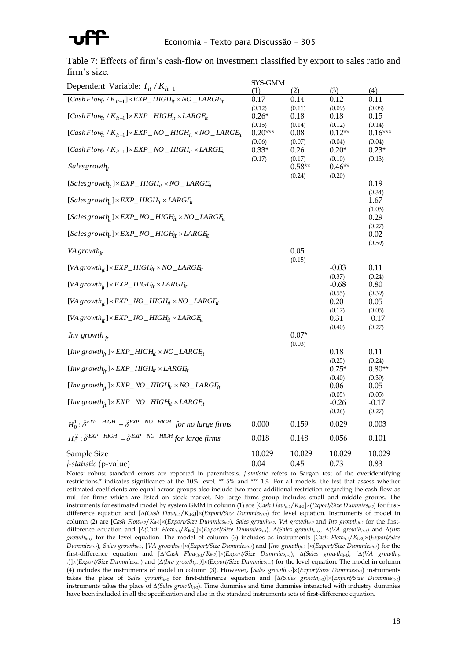

| Dependent Variable: $I_{it}$ / $K_{it-1}$                                                       | SYS-GMM<br>(1)    |                              | (3)                          | (4)                      |
|-------------------------------------------------------------------------------------------------|-------------------|------------------------------|------------------------------|--------------------------|
| $[CashFlow_{it} / K_{it-1}]\times EXP\_HIGH_{it} \times NO\_LARGE_{it}$                         | 0.17              | (2)<br>0.14                  | 0.12                         | 0.11                     |
|                                                                                                 | (0.12)            | (0.11)                       | (0.09)                       | (0.08)                   |
| $[CashFlow_{it} / K_{it-1}] \times EXP\_HIGH_{it} \times LARGE_{it}$                            | $0.26*$           | 0.18                         | 0.18                         | 0.15                     |
|                                                                                                 | (0.15)            | (0.14)                       | (0.12)                       | (0.14)                   |
| $[CashFlow_{it} / K_{it-1}] \times EXP_NO$ _ HIGH <sub>it</sub> × NO _ LARGE <sub>it</sub>      | $0.20***$         | 0.08                         | $0.12**$                     | $0.16***$                |
| $[CashFlow_{it} / K_{it-1}] \times EXP\_NO\_HIGH_{it} \times LARGE_{it}$                        | (0.06)<br>$0.33*$ | (0.07)<br>0.26               | (0.04)<br>$0.20*$            | (0.04)<br>$0.23*$        |
| Sales growth,                                                                                   | (0.17)            | (0.17)<br>$0.58**$<br>(0.24) | (0.10)<br>$0.46**$<br>(0.20) | (0.13)                   |
| [Sales growth <sub>it</sub> ] $\times EXP$ HIGH <sub>it</sub> $\times NO$ _ LARGE <sub>it</sub> |                   |                              |                              | 0.19                     |
| [Sales growth <sub>t</sub> ] $\times EXP\_HIGH_{it} \times LARGE_{it}$                          |                   |                              |                              | (0.34)<br>1.67<br>(1.03) |
| [Sales growth <sub>t</sub> ] $\times EXP_NO_HIGH_{it} \times NO_LARGE_{it}$                     |                   |                              |                              | 0.29                     |
| [Sales growth <sub>t</sub> ] $\times$ EXP_NO_HIGH <sub>it</sub> $\times$ LARGE <sub>it</sub>    |                   |                              |                              | (0.27)<br>0.02           |
|                                                                                                 |                   |                              |                              | (0.59)                   |
| VA growth <sub>it</sub>                                                                         |                   | 0.05                         |                              |                          |
|                                                                                                 |                   | (0.15)                       |                              |                          |
| $[VA\, growth_{it}] \times EXP\_HIGH_{it} \times NO\_LARGE_{it}$                                |                   |                              | $-0.03$                      | 0.11                     |
| [VA growth <sub>it</sub> ] $\times EXP\_HIGH_{it} \times LARGE_{it}$                            |                   |                              | (0.37)<br>$-0.68$            | (0.24)<br>0.80           |
|                                                                                                 |                   |                              | (0.55)                       | (0.39)                   |
| [VA growth <sub>it</sub> ] $\times EXP\_NO\_HIGH_{it} \times NO\_LARGE_{it}$                    |                   |                              | 0.20                         | 0.05                     |
|                                                                                                 |                   |                              | (0.17)                       | (0.05)                   |
| [VA growth <sub>it</sub> ] $\times EXP\_NO\_HIGH_{it} \times LARGE_{it}$                        |                   |                              | 0.31                         | -0.17                    |
|                                                                                                 |                   |                              | (0.40)                       | (0.27)                   |
| Inv growth $_{it}$                                                                              |                   | $0.07*$                      |                              |                          |
| [Inv growth <sub>it</sub> ] $\times EXP\_HIGH_{it} \times NO\_LARGE_{it}$                       |                   | (0.03)                       | 0.18                         | 0.11                     |
|                                                                                                 |                   |                              | (0.25)                       | (0.24)                   |
| $[Inv\ growth_{it}] \times EXP\_HIGH_{it} \times LARGE_{it}$                                    |                   |                              | $0.75*$                      | $0.80**$                 |
|                                                                                                 |                   |                              | (0.40)                       | (0.39)                   |
| [ $Inv\ growth_{it}$ ] $\times EXP\_NO\_HIGH_{it} \times NO\_LARGE_{it}$                        |                   |                              | 0.06                         | 0.05                     |
|                                                                                                 |                   |                              | (0.05)                       | (0.05)                   |
| [ $Inv\ growth_{it}$ ]× $EXP_NO_HIGH_{it}$ × $LARGE_{it}$                                       |                   |                              | $-0.26$                      | $-0.17$                  |
|                                                                                                 |                   |                              | (0.26)                       | (0.27)                   |
| $H_0^1$ : $\hat{\delta}^{EXP}$ – HIGH = $\hat{\delta}^{EXP}$ – NO – HIGH for no large firms     | 0.000             | 0.159                        | 0.029                        | 0.003                    |
| $H_0^2$ : $\hat{\delta}^{EXP}$ -HIGH = $\hat{\delta}^{EXP}$ -NO-HIGH for large firms            | 0.018             | 0.148                        | 0.056                        | 0.101                    |
|                                                                                                 |                   |                              |                              |                          |
| Sample Size                                                                                     | 10.029            | 10.029                       | 10.029                       | 10.029                   |
| <i>i-statistic</i> (p-value)                                                                    | 0.04              | 0.45                         | 0.73                         | 0.83                     |

Table 7: Effects of firm's cash-flow on investment classified by export to sales ratio and firm's size.

Notes: robust standard errors are reported in parenthesis, *j-statistic* refers to Sargan test of the overidentifying restrictions.\* indicates significance at the 10% level, \*\* 5% and \*\*\* 1%. For all models, the test that assess whether estimated coefficients are equal across groups also include two more additional restriction regarding the cash flow as null for firms which are listed on stock market. No large firms group includes small and middle groups. The instruments for estimated model by system GMM in column (1) are [Cash Flow<sub>it-2</sub>/K<sub>it-3</sub>]×(Export/Size Dummies<sub>it-2</sub>) for firstdifference equation and  $[\Delta(Cash Flow_{ii-1}/K_{it-2})] \times (Export/Size~Dummies_{ii-1})$  for level equation. Instruments of model in column (2) are [Cash Flow<sub>it-2</sub>/K<sub>it-3</sub>]×(Export/Size Dummies<sub>it-2</sub>), Sales growth<sub>it-2</sub>. VA growth<sub>it-2</sub> and Inv growth<sub>it-2</sub> for the firstdifference equation and  $[\Delta(Cash Flow_{i+1}/K_{i+2})] \times (Expl/Size~Dummies_{i+1})$ ,  $\Delta(Sales~growth_{i+1})$ ,  $\Delta(VA~growth_{i+1})$  and  $\Delta(Inv)$ growth<sub>it-1</sub>) for the level equation. The model of column (3) includes as instruments [Cash Flow<sub>it-2</sub>/K<sub>it-3</sub>]×(Export/Size Dummies<sub>it-2</sub>), Sales growth<sub>it-2</sub>, [VA growth<sub>it-2</sub>]×(Export/Size Dummies<sub>it-2</sub>) and [Inv growth<sub>it-2</sub>]×(Export/Size Dummies<sub>it-2</sub>) for the first-difference equation and  $[\Delta(Cash \ Flow_{it-1}/K_{it-2}]] \times (Export/Size \ Dummies_{it-1}), \Delta(Sales \ growth_{it-1}), [\Delta(VA \ gravth_{it-1}])$  $_1$ ]|×(Export/Size Dummies<sub>it-1</sub>) and [ $\Delta(Inv\ growth_{it-1})$ |×(Export/Size Dummies<sub>it-1</sub>) for the level equation. The model in column (4) includes the instruments of model in column (3). However, [Sales growth<sub>it-2</sub>]×(Export/Size Dummies<sub>it-2</sub>) instruments takes the place of Sales growth<sub>it-2</sub> for first-difference equation and [ $\Delta(Sales growth_{it-1})$ ]×(Export/Size Dummies<sub>it-1</sub>) instruments takes the place of  $\Delta(Sales growth_{it-1})$ . Time dummies and time dummies interacted with industry dummies have been included in all the specification and also in the standard instruments sets of first-difference equation.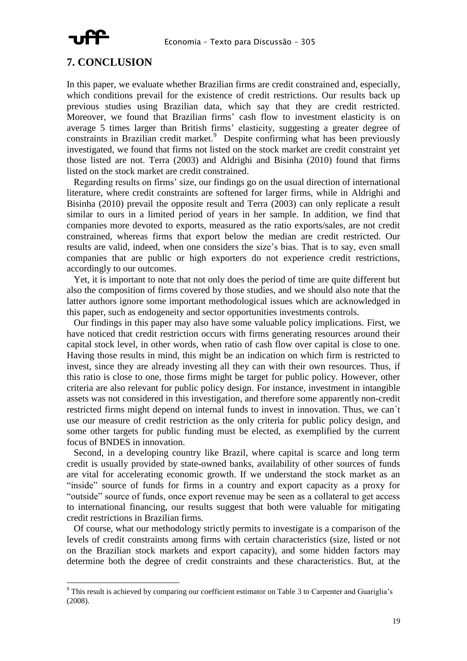

<u>.</u>

## **7. CONCLUSION**

In this paper, we evaluate whether Brazilian firms are credit constrained and, especially, which conditions prevail for the existence of credit restrictions. Our results back up previous studies using Brazilian data, which say that they are credit restricted. Moreover, we found that Brazilian firms' cash flow to investment elasticity is on average 5 times larger than British firms' elasticity, suggesting a greater degree of constraints in Brazilian credit market.<sup>9</sup> Despite confirming what has been previously investigated, we found that firms not listed on the stock market are credit constraint yet those listed are not. Terra (2003) and Aldrighi and Bisinha (2010) found that firms listed on the stock market are credit constrained.

Regarding results on firms' size, our findings go on the usual direction of international literature, where credit constraints are softened for larger firms, while in Aldrighi and Bisinha (2010) prevail the opposite result and Terra (2003) can only replicate a result similar to ours in a limited period of years in her sample. In addition, we find that companies more devoted to exports, measured as the ratio exports/sales, are not credit constrained, whereas firms that export below the median are credit restricted. Our results are valid, indeed, when one considers the size's bias. That is to say, even small companies that are public or high exporters do not experience credit restrictions, accordingly to our outcomes.

Yet, it is important to note that not only does the period of time are quite different but also the composition of firms covered by those studies, and we should also note that the latter authors ignore some important methodological issues which are acknowledged in this paper, such as endogeneity and sector opportunities investments controls.

Our findings in this paper may also have some valuable policy implications. First, we have noticed that credit restriction occurs with firms generating resources around their capital stock level, in other words, when ratio of cash flow over capital is close to one. Having those results in mind, this might be an indication on which firm is restricted to invest, since they are already investing all they can with their own resources. Thus, if this ratio is close to one, those firms might be target for public policy. However, other criteria are also relevant for public policy design. For instance, investment in intangible assets was not considered in this investigation, and therefore some apparently non-credit restricted firms might depend on internal funds to invest in innovation. Thus, we can´t use our measure of credit restriction as the only criteria for public policy design, and some other targets for public funding must be elected, as exemplified by the current focus of BNDES in innovation.

Second, in a developing country like Brazil, where capital is scarce and long term credit is usually provided by state-owned banks, availability of other sources of funds are vital for accelerating economic growth. If we understand the stock market as an "inside" source of funds for firms in a country and export capacity as a proxy for "outside" source of funds, once export revenue may be seen as a collateral to get access to international financing, our results suggest that both were valuable for mitigating credit restrictions in Brazilian firms.

Of course, what our methodology strictly permits to investigate is a comparison of the levels of credit constraints among firms with certain characteristics (size, listed or not on the Brazilian stock markets and export capacity), and some hidden factors may determine both the degree of credit constraints and these characteristics. But, at the

<sup>&</sup>lt;sup>9</sup> This result is achieved by comparing our coefficient estimator on Table 3 to Carpenter and Guariglia's (2008).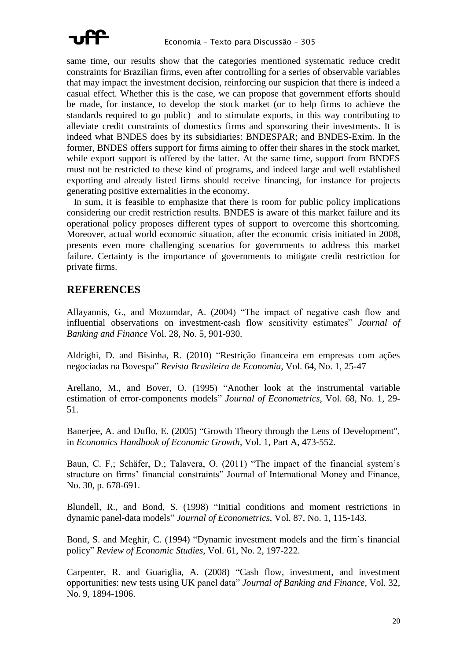

same time, our results show that the categories mentioned systematic reduce credit constraints for Brazilian firms, even after controlling for a series of observable variables that may impact the investment decision, reinforcing our suspicion that there is indeed a casual effect. Whether this is the case, we can propose that government efforts should be made, for instance, to develop the stock market (or to help firms to achieve the standards required to go public) and to stimulate exports, in this way contributing to alleviate credit constraints of domestics firms and sponsoring their investments. It is indeed what BNDES does by its subsidiaries: BNDESPAR; and BNDES-Exim. In the former, BNDES offers support for firms aiming to offer their shares in the stock market, while export support is offered by the latter. At the same time, support from BNDES must not be restricted to these kind of programs, and indeed large and well established exporting and already listed firms should receive financing, for instance for projects generating positive externalities in the economy.

In sum, it is feasible to emphasize that there is room for public policy implications considering our credit restriction results. BNDES is aware of this market failure and its operational policy proposes different types of support to overcome this shortcoming. Moreover, actual world economic situation, after the economic crisis initiated in 2008, presents even more challenging scenarios for governments to address this market failure. Certainty is the importance of governments to mitigate credit restriction for private firms.

# **REFERENCES**

Allayannis, G., and Mozumdar, A. (2004) "The impact of negative cash flow and influential observations on investment-cash flow sensitivity estimates" *Journal of Banking and Finance* Vol. 28, No. 5, 901-930.

Aldrighi, D. and Bisinha, R. (2010) "Restrição financeira em empresas com ações negociadas na Bovespa" *Revista Brasileira de Economia*, Vol. 64, No. 1, 25-47

Arellano, M., and Bover, O. (1995) "Another look at the instrumental variable estimation of error-components models" *Journal of Econometrics*, Vol. 68, No. 1, 29- 51.

Banerjee, A. and Duflo, E. (2005) "Growth Theory through the Lens of Development", in *Economics Handbook of Economic Growth*, Vol. 1, Part A, 473-552.

Baun, C. F,; Schäfer, D.; Talavera, O. (2011) "The impact of the financial system's structure on firms' financial constraints" Journal of International Money and Finance, No. 30, p. 678-691.

Blundell, R., and Bond, S. (1998) "Initial conditions and moment restrictions in dynamic panel-data models" *Journal of Econometrics*, Vol. 87, No. 1, 115-143.

Bond, S. and Meghir, C. (1994) "Dynamic investment models and the firm`s financial policy" *Review of Economic Studies*, Vol. 61, No. 2, 197-222.

Carpenter, R. and Guariglia, A. (2008) "Cash flow, investment, and investment opportunities: new tests using UK panel data" *Journal of Banking and Finance*, Vol. 32, No. 9, 1894-1906.